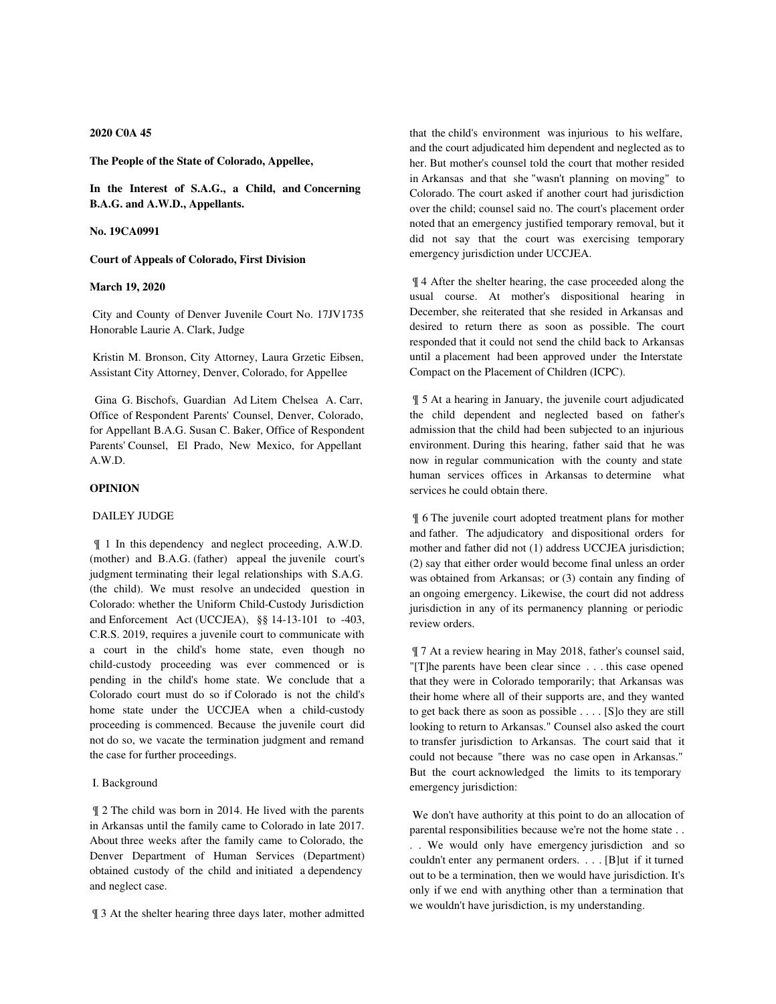### **2020 C0A 45**

**The People of the State of Colorado, Appellee,**

**In the Interest of S.A.G., a Child, and Concerning B.A.G. and A.W.D., Appellants.**

**No. 19CA0991**

#### **Court of Appeals of Colorado, First Division**

#### **March 19, 2020**

 City and County of Denver Juvenile Court No. 17JV1735 Honorable Laurie A. Clark, Judge

 Kristin M. Bronson, City Attorney, Laura Grzetic Eibsen, Assistant City Attorney, Denver, Colorado, for Appellee

 Gina G. Bischofs, Guardian Ad Litem Chelsea A. Carr, Office of Respondent Parents' Counsel, Denver, Colorado, for Appellant B.A.G. Susan C. Baker, Office of Respondent Parents' Counsel, El Prado, New Mexico, for Appellant A.W.D.

# **OPINION**

## DAILEY JUDGE

 ¶ 1 In this dependency and neglect proceeding, A.W.D. (mother) and B.A.G. (father) appeal the juvenile court's judgment terminating their legal relationships with S.A.G. (the child). We must resolve an undecided question in Colorado: whether the Uniform Child-Custody Jurisdiction and Enforcement Act (UCCJEA), §§ 14-13-101 to -403, C.R.S. 2019, requires a juvenile court to communicate with a court in the child's home state, even though no child-custody proceeding was ever commenced or is pending in the child's home state. We conclude that a Colorado court must do so if Colorado is not the child's home state under the UCCJEA when a child-custody proceeding is commenced. Because the juvenile court did not do so, we vacate the termination judgment and remand the case for further proceedings.

### I. Background

 ¶ 2 The child was born in 2014. He lived with the parents in Arkansas until the family came to Colorado in late 2017. About three weeks after the family came to Colorado, the Denver Department of Human Services (Department) obtained custody of the child and initiated a dependency and neglect case.

¶ 3 At the shelter hearing three days later, mother admitted

that the child's environment was injurious to his welfare, and the court adjudicated him dependent and neglected as to her. But mother's counsel told the court that mother resided in Arkansas and that she "wasn't planning on moving" to Colorado. The court asked if another court had jurisdiction over the child; counsel said no. The court's placement order noted that an emergency justified temporary removal, but it did not say that the court was exercising temporary emergency jurisdiction under UCCJEA.

 ¶ 4 After the shelter hearing, the case proceeded along the usual course. At mother's dispositional hearing in December, she reiterated that she resided in Arkansas and desired to return there as soon as possible. The court responded that it could not send the child back to Arkansas until a placement had been approved under the Interstate Compact on the Placement of Children (ICPC).

 ¶ 5 At a hearing in January, the juvenile court adjudicated the child dependent and neglected based on father's admission that the child had been subjected to an injurious environment. During this hearing, father said that he was now in regular communication with the county and state human services offices in Arkansas to determine what services he could obtain there.

 ¶ 6 The juvenile court adopted treatment plans for mother and father. The adjudicatory and dispositional orders for mother and father did not (1) address UCCJEA jurisdiction; (2) say that either order would become final unless an order was obtained from Arkansas; or (3) contain any finding of an ongoing emergency. Likewise, the court did not address jurisdiction in any of its permanency planning or periodic review orders.

 ¶ 7 At a review hearing in May 2018, father's counsel said, "[T]he parents have been clear since . . . this case opened that they were in Colorado temporarily; that Arkansas was their home where all of their supports are, and they wanted to get back there as soon as possible . . . . [S]o they are still looking to return to Arkansas." Counsel also asked the court to transfer jurisdiction to Arkansas. The court said that it could not because "there was no case open in Arkansas." But the court acknowledged the limits to its temporary emergency jurisdiction:

 We don't have authority at this point to do an allocation of parental responsibilities because we're not the home state . . . . We would only have emergency jurisdiction and so couldn't enter any permanent orders. . . . [B]ut if it turned out to be a termination, then we would have jurisdiction. It's only if we end with anything other than a termination that we wouldn't have jurisdiction, is my understanding.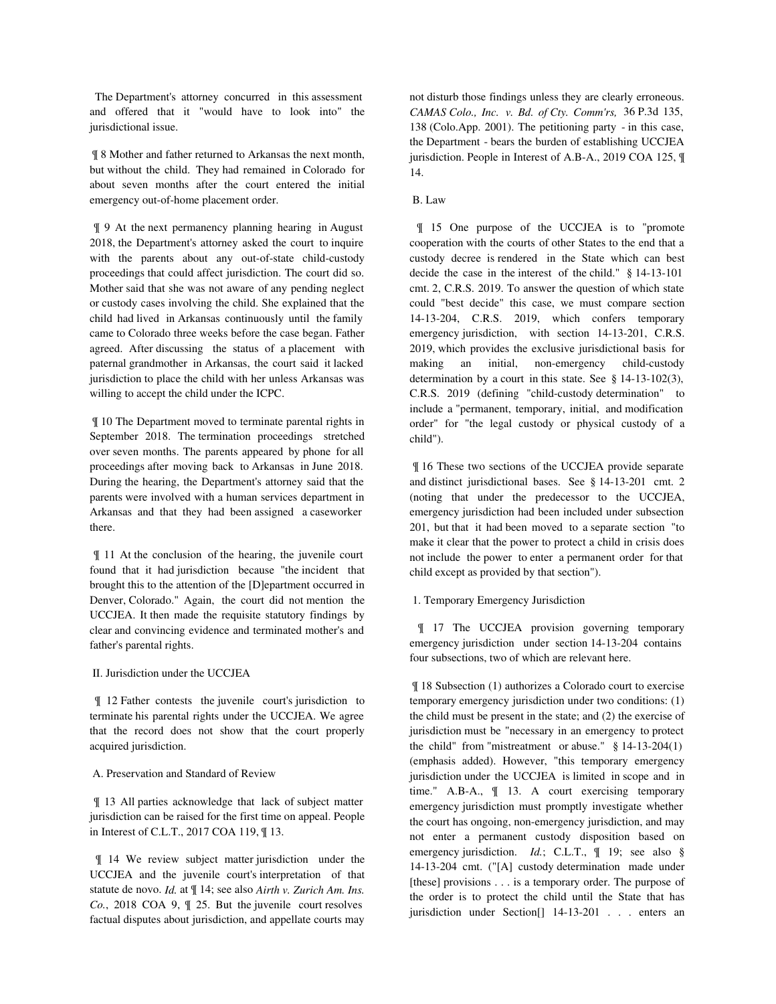The Department's attorney concurred in this assessment and offered that it "would have to look into" the jurisdictional issue.

 ¶ 8 Mother and father returned to Arkansas the next month, but without the child. They had remained in Colorado for about seven months after the court entered the initial emergency out-of-home placement order.

 ¶ 9 At the next permanency planning hearing in August 2018, the Department's attorney asked the court to inquire with the parents about any out-of-state child-custody proceedings that could affect jurisdiction. The court did so. Mother said that she was not aware of any pending neglect or custody cases involving the child. She explained that the child had lived in Arkansas continuously until the family came to Colorado three weeks before the case began. Father agreed. After discussing the status of a placement with paternal grandmother in Arkansas, the court said it lacked jurisdiction to place the child with her unless Arkansas was willing to accept the child under the ICPC.

 ¶ 10 The Department moved to terminate parental rights in September 2018. The termination proceedings stretched over seven months. The parents appeared by phone for all proceedings after moving back to Arkansas in June 2018. During the hearing, the Department's attorney said that the parents were involved with a human services department in Arkansas and that they had been assigned a caseworker there.

 ¶ 11 At the conclusion of the hearing, the juvenile court found that it had jurisdiction because "the incident that brought this to the attention of the [D]epartment occurred in Denver, Colorado." Again, the court did not mention the UCCJEA. It then made the requisite statutory findings by clear and convincing evidence and terminated mother's and father's parental rights.

### II. Jurisdiction under the UCCJEA

 ¶ 12 Father contests the juvenile court's jurisdiction to terminate his parental rights under the UCCJEA. We agree that the record does not show that the court properly acquired jurisdiction.

### A. Preservation and Standard of Review

 ¶ 13 All parties acknowledge that lack of subject matter jurisdiction can be raised for the first time on appeal. People in Interest of C.L.T., 2017 COA 119, ¶ 13.

 ¶ 14 We review subject matter jurisdiction under the UCCJEA and the juvenile court's interpretation of that statute de novo. *Id.* at ¶ 14; see also *Airth v. Zurich Am. Ins. Co.*, 2018 COA 9, ¶ 25. But the juvenile court resolves factual disputes about jurisdiction, and appellate courts may

not disturb those findings unless they are clearly erroneous. *CAMAS Colo., Inc. v. Bd. of Cty. Comm'rs,* 36 P.3d 135, 138 (Colo.App. 2001). The petitioning party - in this case, the Department - bears the burden of establishing UCCJEA jurisdiction. People in Interest of A.B-A., 2019 COA 125,  $\P$ 14.

#### B. Law

 ¶ 15 One purpose of the UCCJEA is to "promote cooperation with the courts of other States to the end that a custody decree is rendered in the State which can best decide the case in the interest of the child." § 14-13-101 cmt. 2, C.R.S. 2019. To answer the question of which state could "best decide" this case, we must compare section 14-13-204, C.R.S. 2019, which confers temporary emergency jurisdiction, with section 14-13-201, C.R.S. 2019, which provides the exclusive jurisdictional basis for making an initial, non-emergency child-custody determination by a court in this state. See § 14-13-102(3), C.R.S. 2019 (defining "child-custody determination" to include a "permanent, temporary, initial, and modification order" for "the legal custody or physical custody of a child").

 ¶ 16 These two sections of the UCCJEA provide separate and distinct jurisdictional bases. See § 14-13-201 cmt. 2 (noting that under the predecessor to the UCCJEA, emergency jurisdiction had been included under subsection 201, but that it had been moved to a separate section "to make it clear that the power to protect a child in crisis does not include the power to enter a permanent order for that child except as provided by that section").

## 1. Temporary Emergency Jurisdiction

 ¶ 17 The UCCJEA provision governing temporary emergency jurisdiction under section 14-13-204 contains four subsections, two of which are relevant here.

 ¶ 18 Subsection (1) authorizes a Colorado court to exercise temporary emergency jurisdiction under two conditions: (1) the child must be present in the state; and (2) the exercise of jurisdiction must be "necessary in an emergency to protect the child" from "mistreatment or abuse." § 14-13-204(1) (emphasis added). However, "this temporary emergency jurisdiction under the UCCJEA is limited in scope and in time." A.B-A., ¶ 13. A court exercising temporary emergency jurisdiction must promptly investigate whether the court has ongoing, non-emergency jurisdiction, and may not enter a permanent custody disposition based on emergency jurisdiction. *Id.*; C.L.T., ¶ 19; see also § 14-13-204 cmt. ("[A] custody determination made under [these] provisions . . . is a temporary order. The purpose of the order is to protect the child until the State that has jurisdiction under Section[] 14-13-201 . . . enters an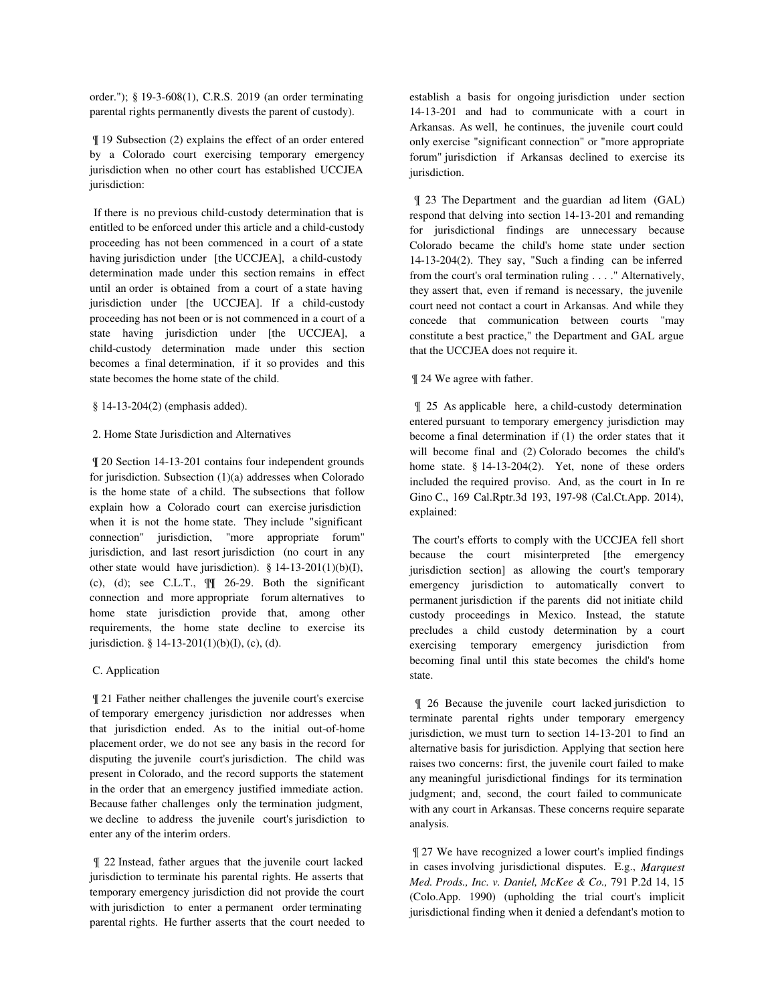order."); § 19-3-608(1), C.R.S. 2019 (an order terminating parental rights permanently divests the parent of custody).

 ¶ 19 Subsection (2) explains the effect of an order entered by a Colorado court exercising temporary emergency jurisdiction when no other court has established UCCJEA jurisdiction:

 If there is no previous child-custody determination that is entitled to be enforced under this article and a child-custody proceeding has not been commenced in a court of a state having jurisdiction under [the UCCJEA], a child-custody determination made under this section remains in effect until an order is obtained from a court of a state having jurisdiction under [the UCCJEA]. If a child-custody proceeding has not been or is not commenced in a court of a state having jurisdiction under [the UCCJEA], a child-custody determination made under this section becomes a final determination, if it so provides and this state becomes the home state of the child.

§ 14-13-204(2) (emphasis added).

#### 2. Home State Jurisdiction and Alternatives

 ¶ 20 Section 14-13-201 contains four independent grounds for jurisdiction. Subsection (1)(a) addresses when Colorado is the home state of a child. The subsections that follow explain how a Colorado court can exercise jurisdiction when it is not the home state. They include "significant connection" jurisdiction, "more appropriate forum" jurisdiction, and last resort jurisdiction (no court in any other state would have jurisdiction).  $§ 14-13-201(1)(b)(I)$ , (c), (d); see C.L.T.,  $\mathbb{I}$  26-29. Both the significant connection and more appropriate forum alternatives to home state jurisdiction provide that, among other requirements, the home state decline to exercise its jurisdiction. § 14-13-201(1)(b)(I), (c), (d).

# C. Application

 ¶ 21 Father neither challenges the juvenile court's exercise of temporary emergency jurisdiction nor addresses when that jurisdiction ended. As to the initial out-of-home placement order, we do not see any basis in the record for disputing the juvenile court's jurisdiction. The child was present in Colorado, and the record supports the statement in the order that an emergency justified immediate action. Because father challenges only the termination judgment, we decline to address the juvenile court's jurisdiction to enter any of the interim orders.

 ¶ 22 Instead, father argues that the juvenile court lacked jurisdiction to terminate his parental rights. He asserts that temporary emergency jurisdiction did not provide the court with jurisdiction to enter a permanent order terminating parental rights. He further asserts that the court needed to establish a basis for ongoing jurisdiction under section 14-13-201 and had to communicate with a court in Arkansas. As well, he continues, the juvenile court could only exercise "significant connection" or "more appropriate forum" jurisdiction if Arkansas declined to exercise its jurisdiction.

 ¶ 23 The Department and the guardian ad litem (GAL) respond that delving into section 14-13-201 and remanding for jurisdictional findings are unnecessary because Colorado became the child's home state under section 14-13-204(2). They say, "Such a finding can be inferred from the court's oral termination ruling . . . ." Alternatively, they assert that, even if remand is necessary, the juvenile court need not contact a court in Arkansas. And while they concede that communication between courts "may constitute a best practice," the Department and GAL argue that the UCCJEA does not require it.

# ¶ 24 We agree with father.

 ¶ 25 As applicable here, a child-custody determination entered pursuant to temporary emergency jurisdiction may become a final determination if (1) the order states that it will become final and (2) Colorado becomes the child's home state. § 14-13-204(2). Yet, none of these orders included the required proviso. And, as the court in In re Gino C., 169 Cal.Rptr.3d 193, 197-98 (Cal.Ct.App. 2014), explained:

 The court's efforts to comply with the UCCJEA fell short because the court misinterpreted [the emergency jurisdiction section] as allowing the court's temporary emergency jurisdiction to automatically convert to permanent jurisdiction if the parents did not initiate child custody proceedings in Mexico. Instead, the statute precludes a child custody determination by a court exercising temporary emergency jurisdiction from becoming final until this state becomes the child's home state.

 ¶ 26 Because the juvenile court lacked jurisdiction to terminate parental rights under temporary emergency jurisdiction, we must turn to section 14-13-201 to find an alternative basis for jurisdiction. Applying that section here raises two concerns: first, the juvenile court failed to make any meaningful jurisdictional findings for its termination judgment; and, second, the court failed to communicate with any court in Arkansas. These concerns require separate analysis.

 ¶ 27 We have recognized a lower court's implied findings in cases involving jurisdictional disputes. E.g., *Marquest Med. Prods., Inc. v. Daniel, McKee & Co.,* 791 P.2d 14, 15 (Colo.App. 1990) (upholding the trial court's implicit jurisdictional finding when it denied a defendant's motion to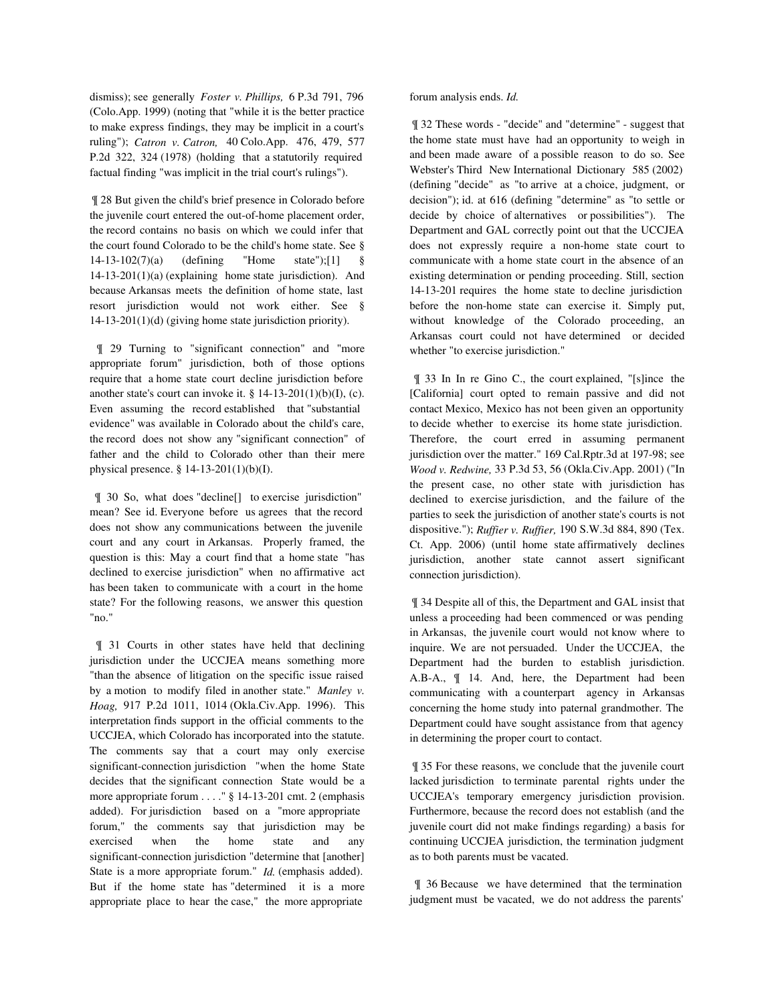dismiss); see generally *Foster v. Phillips,* 6 P.3d 791, 796 (Colo.App. 1999) (noting that "while it is the better practice to make express findings, they may be implicit in a court's ruling"); *Catron v. Catron,* 40 Colo.App. 476, 479, 577 P.2d 322, 324 (1978) (holding that a statutorily required factual finding "was implicit in the trial court's rulings").

 ¶ 28 But given the child's brief presence in Colorado before the juvenile court entered the out-of-home placement order, the record contains no basis on which we could infer that the court found Colorado to be the child's home state. See § 14-13-102(7)(a) (defining "Home state");[1] § 14-13-201(1)(a) (explaining home state jurisdiction). And because Arkansas meets the definition of home state, last resort jurisdiction would not work either. See § 14-13-201(1)(d) (giving home state jurisdiction priority).

 ¶ 29 Turning to "significant connection" and "more appropriate forum" jurisdiction, both of those options require that a home state court decline jurisdiction before another state's court can invoke it.  $\S$  14-13-201(1)(b)(I), (c). Even assuming the record established that "substantial evidence" was available in Colorado about the child's care, the record does not show any "significant connection" of father and the child to Colorado other than their mere physical presence. § 14-13-201(1)(b)(I).

 ¶ 30 So, what does "decline[] to exercise jurisdiction" mean? See id. Everyone before us agrees that the record does not show any communications between the juvenile court and any court in Arkansas. Properly framed, the question is this: May a court find that a home state "has declined to exercise jurisdiction" when no affirmative act has been taken to communicate with a court in the home state? For the following reasons, we answer this question "no."

 ¶ 31 Courts in other states have held that declining jurisdiction under the UCCJEA means something more "than the absence of litigation on the specific issue raised by a motion to modify filed in another state." *Manley v. Hoag,* 917 P.2d 1011, 1014 (Okla.Civ.App. 1996). This interpretation finds support in the official comments to the UCCJEA, which Colorado has incorporated into the statute. The comments say that a court may only exercise significant-connection jurisdiction "when the home State decides that the significant connection State would be a more appropriate forum . . . ." § 14-13-201 cmt. 2 (emphasis added). For jurisdiction based on a "more appropriate forum," the comments say that jurisdiction may be exercised when the home state and any significant-connection jurisdiction "determine that [another] State is a more appropriate forum." *Id.* (emphasis added). But if the home state has "determined it is a more appropriate place to hear the case," the more appropriate

forum analysis ends. *Id.*

 ¶ 32 These words - "decide" and "determine" - suggest that the home state must have had an opportunity to weigh in and been made aware of a possible reason to do so. See Webster's Third New International Dictionary 585 (2002) (defining "decide" as "to arrive at a choice, judgment, or decision"); id. at 616 (defining "determine" as "to settle or decide by choice of alternatives or possibilities"). The Department and GAL correctly point out that the UCCJEA does not expressly require a non-home state court to communicate with a home state court in the absence of an existing determination or pending proceeding. Still, section 14-13-201 requires the home state to decline jurisdiction before the non-home state can exercise it. Simply put, without knowledge of the Colorado proceeding, an Arkansas court could not have determined or decided whether "to exercise jurisdiction."

 ¶ 33 In In re Gino C., the court explained, "[s]ince the [California] court opted to remain passive and did not contact Mexico, Mexico has not been given an opportunity to decide whether to exercise its home state jurisdiction. Therefore, the court erred in assuming permanent jurisdiction over the matter." 169 Cal.Rptr.3d at 197-98; see *Wood v. Redwine,* 33 P.3d 53, 56 (Okla.Civ.App. 2001) ("In the present case, no other state with jurisdiction has declined to exercise jurisdiction, and the failure of the parties to seek the jurisdiction of another state's courts is not dispositive."); *Ruffier v. Ruffier,* 190 S.W.3d 884, 890 (Tex. Ct. App. 2006) (until home state affirmatively declines jurisdiction, another state cannot assert significant connection jurisdiction).

 ¶ 34 Despite all of this, the Department and GAL insist that unless a proceeding had been commenced or was pending in Arkansas, the juvenile court would not know where to inquire. We are not persuaded. Under the UCCJEA, the Department had the burden to establish jurisdiction. A.B-A., ¶ 14. And, here, the Department had been communicating with a counterpart agency in Arkansas concerning the home study into paternal grandmother. The Department could have sought assistance from that agency in determining the proper court to contact.

 ¶ 35 For these reasons, we conclude that the juvenile court lacked jurisdiction to terminate parental rights under the UCCJEA's temporary emergency jurisdiction provision. Furthermore, because the record does not establish (and the juvenile court did not make findings regarding) a basis for continuing UCCJEA jurisdiction, the termination judgment as to both parents must be vacated.

 ¶ 36 Because we have determined that the termination judgment must be vacated, we do not address the parents'